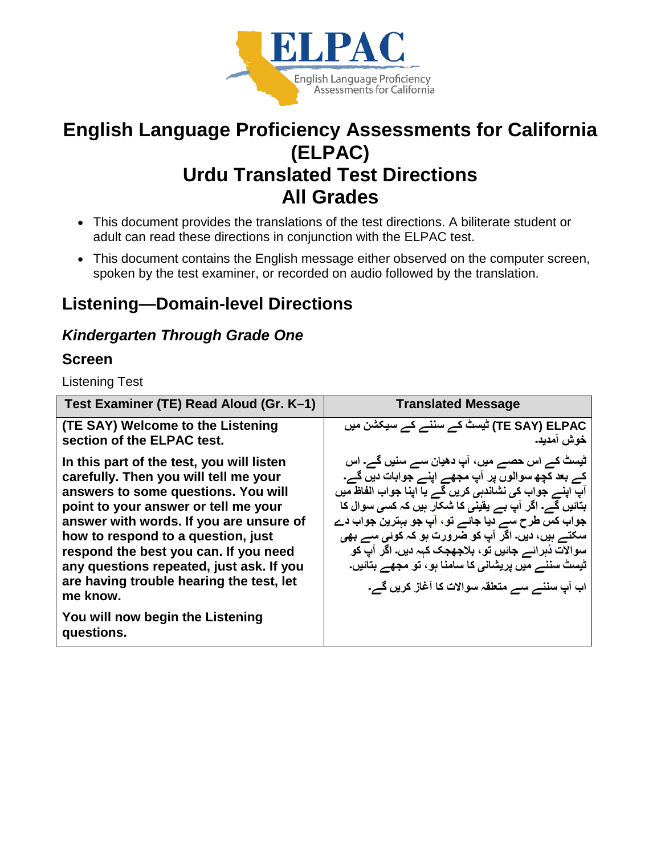

# **English Language Proficiency Assessments for California (ELPAC) Urdu Translated Test Directions All Grades**

- This document provides the translations of the test directions. A biliterate student or adult can read these directions in conjunction with the ELPAC test.
- This document contains the English message either observed on the computer screen, spoken by the test examiner, or recorded on audio followed by the translation.

## **Listening—Domain-level Directions**

### *Kindergarten Through Grade One*

#### **Screen**

Listening Test

| Test Examiner (TE) Read Aloud (Gr. K-1)                                                                                                                                                                                                                                                                                                                                                         | <b>Translated Message</b>                                                                                                                                                                                                                                                                                                                                                                                                                                                                 |
|-------------------------------------------------------------------------------------------------------------------------------------------------------------------------------------------------------------------------------------------------------------------------------------------------------------------------------------------------------------------------------------------------|-------------------------------------------------------------------------------------------------------------------------------------------------------------------------------------------------------------------------------------------------------------------------------------------------------------------------------------------------------------------------------------------------------------------------------------------------------------------------------------------|
| (TE SAY) Welcome to the Listening<br>section of the ELPAC test.                                                                                                                                                                                                                                                                                                                                 | TE SAY) ELPAC) ٹیسٹ کے سننے کے سیکشن میں<br>خوش آمديد.                                                                                                                                                                                                                                                                                                                                                                                                                                    |
| In this part of the test, you will listen<br>carefully. Then you will tell me your<br>answers to some questions. You will<br>point to your answer or tell me your<br>answer with words. If you are unsure of<br>how to respond to a question, just<br>respond the best you can. If you need<br>any questions repeated, just ask. If you<br>are having trouble hearing the test, let<br>me know. | ٹیسٹ کے اس حصے میں، آپ دھیان سے سنیں گے۔ اس<br>کے بعد کچھ سوالوں پر آپ مجھے اپنے جوابات دیں گے۔<br>آپ اینے جواب کی نشاندہی کریں گے یا اپنا جواب الفاظ میں<br>بتائیں گے۔ اگر آپ بے یقینی کا شکار ہیں کہ کسی سوال کا<br>جواب کس طرح سے دیا جائے تو ، آپ جو بہترین جواب دے<br>سکتے ہیں، دیں۔ اگر آپ کو ضرورت ہو کہ کوئی سے بھی<br>سوالآت دُہرائے جائیں تو ، بلاجھجک کہہ دیں۔ اگر آپ کو<br>ٹیسٹ سننے میں پریشانی کا سامنا ہو، تو مجھے بتائیں۔<br>اب آپ سننے سے متعلقہ سوالات کا آغاز کریں گے۔ |
| You will now begin the Listening<br>questions.                                                                                                                                                                                                                                                                                                                                                  |                                                                                                                                                                                                                                                                                                                                                                                                                                                                                           |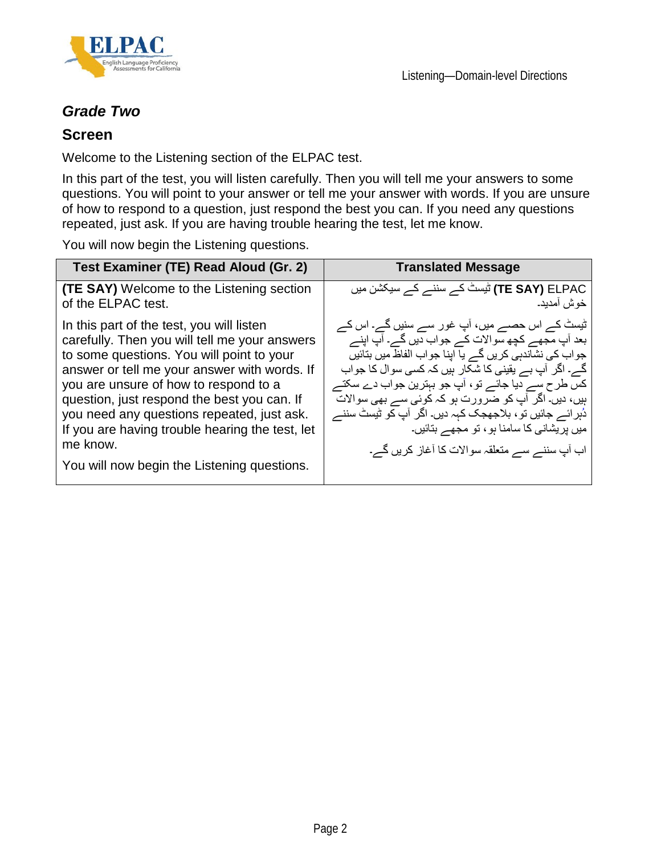

### *Grade Two*

#### **Screen**

Welcome to the Listening section of the ELPAC test.

In this part of the test, you will listen carefully. Then you will tell me your answers to some questions. You will point to your answer or tell me your answer with words. If you are unsure of how to respond to a question, just respond the best you can. If you need any questions repeated, just ask. If you are having trouble hearing the test, let me know.

You will now begin the Listening questions.

| Test Examiner (TE) Read Aloud (Gr. 2)                                                                                                                                                                                                                                                                                                                                                                                                       | <b>Translated Message</b>                                                                                                                                                                                                                                                                                                                                                                                                                                                                              |
|---------------------------------------------------------------------------------------------------------------------------------------------------------------------------------------------------------------------------------------------------------------------------------------------------------------------------------------------------------------------------------------------------------------------------------------------|--------------------------------------------------------------------------------------------------------------------------------------------------------------------------------------------------------------------------------------------------------------------------------------------------------------------------------------------------------------------------------------------------------------------------------------------------------------------------------------------------------|
| <b>(TE SAY)</b> Welcome to the Listening section<br>of the ELPAC test.                                                                                                                                                                                                                                                                                                                                                                      | TE SAY) ELPAC) ٹیسٹ کے سننے کے سیکشن میں<br>خوش آمديد۔                                                                                                                                                                                                                                                                                                                                                                                                                                                 |
| In this part of the test, you will listen<br>carefully. Then you will tell me your answers<br>to some questions. You will point to your<br>answer or tell me your answer with words. If<br>you are unsure of how to respond to a<br>question, just respond the best you can. If<br>you need any questions repeated, just ask.<br>If you are having trouble hearing the test, let<br>me know.<br>You will now begin the Listening questions. | ٹیسٹ کے اس حصے میں، آپ غور سے سنیں گے۔ اس کے<br>بعد آپ مجھے کچھ سوالات کے جواب دیں گے۔ آپ اپنے<br>جواب کی نشاندہی کریں گے یا اپنا جواب الفاظ میں بنائیں<br>گے۔ اگر آپ بے یقینی کا شکار ہیں کہ کسی سوال کا جواب<br>کس طرح ســــر دیا جائــــر تو ، آپ جو بېترین جواب دے سکتــــر<br>ہیں، دیں۔ اگر آپ کو ضرورت ہو کہ کوئی سے بھی سوالات<br>دُہر ائـــر جائيں تو ، بلاجھجک کہہ ديں۔ اگر  آپ کو ٹيسٹ سننــــر<br>میں پریشانی کا سامنا ہو ، تو مجھے بتائیں۔<br>اب آپ سننے سے متعلقہ سوالات کا آغاز کریں گے۔ |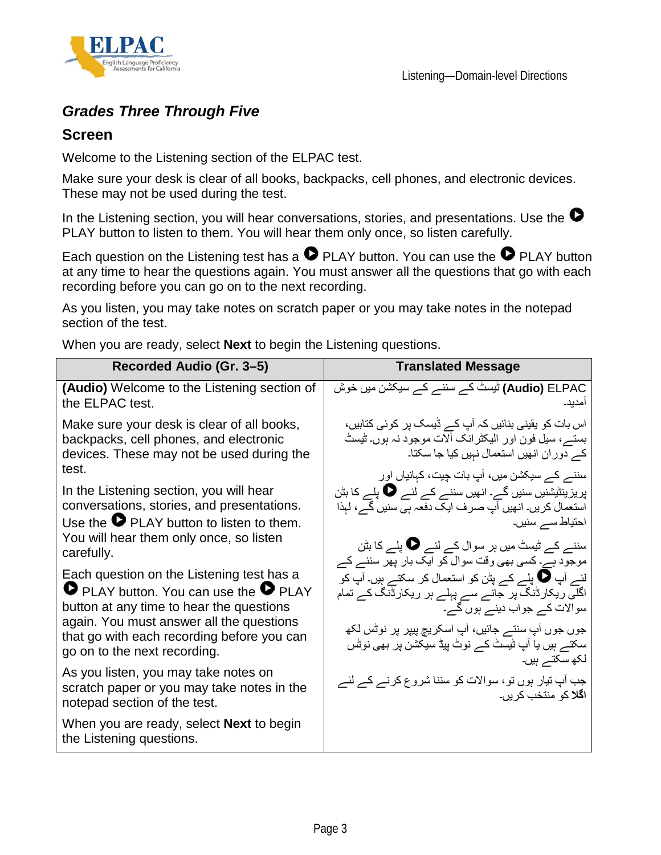

### *Grades Three Through Five*

#### **Screen**

Welcome to the Listening section of the ELPAC test.

Make sure your desk is clear of all books, backpacks, cell phones, and electronic devices. These may not be used during the test.

In the Listening section, you will hear conversations, stories, and presentations. Use the  $\bullet$ PLAY button to listen to them. You will hear them only once, so listen carefully.

Each question on the Listening test has a  $\bullet$  PLAY button. You can use the  $\bullet$  PLAY button at any time to hear the questions again. You must answer all the questions that go with each recording before you can go on to the next recording.

As you listen, you may take notes on scratch paper or you may take notes in the notepad section of the test.

When you are ready, select **Next** to begin the Listening questions.

| Recorded Audio (Gr. 3–5)                                                                                                                                                                                                                                               | <b>Translated Message</b>                                                                                                                                                                                                                                                                                               |
|------------------------------------------------------------------------------------------------------------------------------------------------------------------------------------------------------------------------------------------------------------------------|-------------------------------------------------------------------------------------------------------------------------------------------------------------------------------------------------------------------------------------------------------------------------------------------------------------------------|
| (Audio) Welcome to the Listening section of<br>the ELPAC test.                                                                                                                                                                                                         | <b>Audio)</b> ELPAC) ٹیسٹ کے سننے کے سیکشن میں خوش<br>امدبد۔                                                                                                                                                                                                                                                            |
| Make sure your desk is clear of all books,<br>backpacks, cell phones, and electronic<br>devices. These may not be used during the<br>test.                                                                                                                             | اس بات کو یقینی بنائیں کہ آپ کے ڈیسک پر کوئی کتابیں،<br>بستـــر، سیل فون اور الیکٹرانک ألات موجود نہ ہوں۔ ٹیسٹ<br>کے دوران انھیں استعمال نہیں کیا جا سکتا۔<br>سننے کے سیکشن میں، آپ بات چیت، کہانیاں اور                                                                                                                |
| In the Listening section, you will hear<br>conversations, stories, and presentations.<br>Use the $\bullet$ PLAY button to listen to them.<br>You will hear them only once, so listen<br>carefully.                                                                     | پریزینٹیشنیں سنیں گے۔ انھیں سننے کے لئے �� پلے کا بٹن<br>استعمال کریں۔ انھیں آپ صرف ایک دفعہ ہی سنیں گے، لہذا<br>احتیاط سے سنیں۔<br>سننے کے ٹیسٹ میں ہر سوال کے لئے <b>V</b> پلے کا بٹن                                                                                                                                 |
| Each question on the Listening test has a<br><b>O</b> PLAY button. You can use the <b>O</b> PLAY<br>button at any time to hear the questions<br>again. You must answer all the questions<br>that go with each recording before you can<br>go on to the next recording. | موجود ہے۔ کسی بھی وقت سوال کو ایک بار پھر سننے کے<br>لئے آپ ♥ پلے کے پٹن کو استعمال کر سکتے ہیں۔ آپ کو<br>اگلی ریکارڈنگ پر جانے سے پہلے ہر ریکارڈنگ کے تمام<br>سوالات کے جواب دینے ہوں گے۔<br>جوں جوں آپ سنتـــر جائيں، آپ اسکريچ پيپر پر نوٹس لکھ<br>سکنے ہیں یا آپ ٹیسٹ کے نوٹ پیڈ سیکشن پر بھی نوٹس<br>لکھ سکتے ہیں۔ |
| As you listen, you may take notes on<br>scratch paper or you may take notes in the<br>notepad section of the test.                                                                                                                                                     | جب آپ تیار ہوں تو ، سوالات کو سننا شروع کرنے کے لئے<br>ا <b>گلا</b> کو منتخب کریں۔                                                                                                                                                                                                                                      |
| When you are ready, select <b>Next</b> to begin<br>the Listening questions.                                                                                                                                                                                            |                                                                                                                                                                                                                                                                                                                         |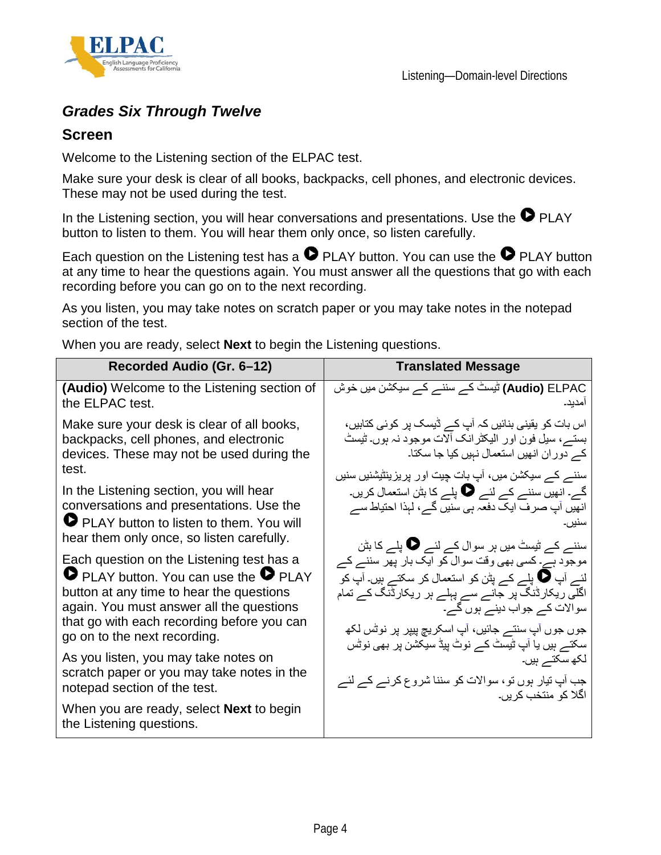

### *Grades Six Through Twelve*

#### **Screen**

Welcome to the Listening section of the ELPAC test.

Make sure your desk is clear of all books, backpacks, cell phones, and electronic devices. These may not be used during the test.

In the Listening section, you will hear conversations and presentations. Use the  $\bullet$  PLAY button to listen to them. You will hear them only once, so listen carefully.

Each question on the Listening test has a  $\bullet$  PLAY button. You can use the  $\bullet$  PLAY button at any time to hear the questions again. You must answer all the questions that go with each recording before you can go on to the next recording.

As you listen, you may take notes on scratch paper or you may take notes in the notepad section of the test.

When you are ready, select **Next** to begin the Listening questions.

| Recorded Audio (Gr. 6-12)                                                                                                                                                                                                                                | <b>Translated Message</b>                                                                                                                                                                                                                                    |
|----------------------------------------------------------------------------------------------------------------------------------------------------------------------------------------------------------------------------------------------------------|--------------------------------------------------------------------------------------------------------------------------------------------------------------------------------------------------------------------------------------------------------------|
| <b>(Audio)</b> Welcome to the Listening section of<br>the ELPAC test.                                                                                                                                                                                    | <b>Audio)</b> ELPAC) ٹیسٹ کے سننے کے سیکشن میں خوش<br>امدبد۔                                                                                                                                                                                                 |
| Make sure your desk is clear of all books,<br>backpacks, cell phones, and electronic<br>devices. These may not be used during the<br>test.                                                                                                               | اس بات کو یقینی بنائیں کہ آپ کے ڈیسک پر کوئی کتابیں،<br>بستے، سیل فون اور الیکٹرانک آلات موجود نہ ہوں۔ ٹیسٹ<br>کے دوران انھیں استعمال نہیں کیا جا سکتا۔<br>سننے کے سیکشن میں، آپ بات چیت اور پریزینٹیشنیں سنیں                                               |
| In the Listening section, you will hear<br>conversations and presentations. Use the<br>PLAY button to listen to them. You will<br>hear them only once, so listen carefully.                                                                              | گے۔ انھیں سننے کے لئے یا پلے کا بٹن استعمال کریں۔<br>انھیں آپ صرف ایک دفعہ ہی سنیں گے ، لہذا احتیاط سے<br>سنبر ،۔<br>سننے کے ٹیسٹ میں ہر سوال کے لئے <b>الی جا</b> پلے کا بٹن                                                                                |
| Each question on the Listening test has a<br>P PLAY button. You can use the P PLAY<br>button at any time to hear the questions<br>again. You must answer all the questions<br>that go with each recording before you can<br>go on to the next recording. | موجود ہے۔ کسی بھی وقت سوال کو ایک بار پھر سننے کے<br>لئے آپ ھا پلے کے پٹن کو استعمال کر سکتے ہیں۔ آپ کو<br>اگلے ریکارڈنگ پر جانے سے پہلے ہر ریکارڈنگ کے ت <i>م</i> ام<br>سوالات کے جواب دینے ہوں گے۔<br>جوں جوں آپ سنتـــر جائيں، آپ اسكريچ پيپر پر نوٹس لكھ |
| As you listen, you may take notes on<br>scratch paper or you may take notes in the<br>notepad section of the test.                                                                                                                                       | سکنے ہیں یا آپ ٹیسٹ کے نوٹ پیڈ سیکشن پر بھی نوٹس<br>لکھ سکتے ہیں۔<br>جب آپ تیار ہوں تو ، سوالات کو سننا شروع کرنے کے لئے<br>اگلا کو منتخب کریں۔                                                                                                              |
| When you are ready, select <b>Next</b> to begin<br>the Listening questions.                                                                                                                                                                              |                                                                                                                                                                                                                                                              |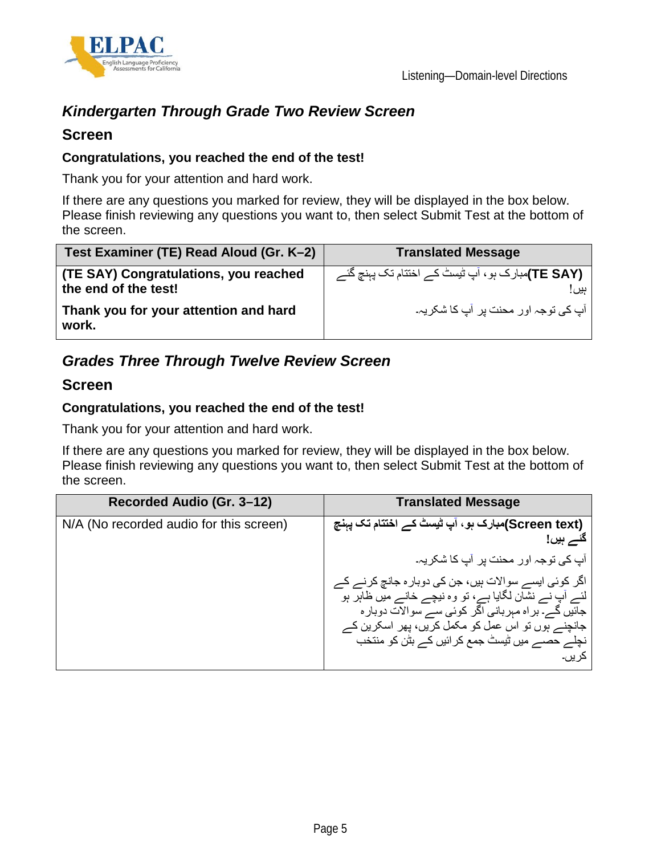

## *Kindergarten Through Grade Two Review Screen*

#### **Screen**

#### **Congratulations, you reached the end of the test!**

Thank you for your attention and hard work.

If there are any questions you marked for review, they will be displayed in the box below. Please finish reviewing any questions you want to, then select Submit Test at the bottom of the screen.

| Test Examiner (TE) Read Aloud (Gr. K-2)                       | <b>Translated Message</b>                                             |
|---------------------------------------------------------------|-----------------------------------------------------------------------|
| (TE SAY) Congratulations, you reached<br>the end of the test! | ۔ <b>(TE SAY)</b> مبارک ہو ، آپ ٹیسٹ کے اختتام تک پہنچ گئے<br>۔ بیں ! |
| Thank you for your attention and hard<br>work.                | آپ کی توجہ اور محنت پر  آپ کا شکر یہ۔                                 |

### *Grades Three Through Twelve Review Screen*

#### **Screen**

#### **Congratulations, you reached the end of the test!**

Thank you for your attention and hard work.

If there are any questions you marked for review, they will be displayed in the box below. Please finish reviewing any questions you want to, then select Submit Test at the bottom of the screen.

| Recorded Audio (Gr. 3-12)               | <b>Translated Message</b>                                                                                                                                                                                              |
|-----------------------------------------|------------------------------------------------------------------------------------------------------------------------------------------------------------------------------------------------------------------------|
| N/A (No recorded audio for this screen) | (Screen text)مبارک ہو، آپ ٹیسٹ کے اختتام تک پہنچ<br>گئے ہیں!                                                                                                                                                           |
|                                         | آب کی توجہ اور محنت پر آپ کا شکریہ۔                                                                                                                                                                                    |
|                                         | اگر کوئی ایسے سوالات ہیں، جن کی دوبار ہ جانچ کرنے کے<br>لئے آپ نے نشان لگایا ہے، تو وہ نیچے خانے میں ظاہر ہو<br>جائیں گے۔ بر اہ مہربانی اگر کوئی سے سوالات دوبار ہ<br>جانچنے ہوں تو اس عمل کو مکمل کریں، پھر اسکرین کے |
|                                         | نچلے حصے میں ٹیسٹ جمع کر ائیں کے بٹن کو منتخب<br>کر بر ہ                                                                                                                                                               |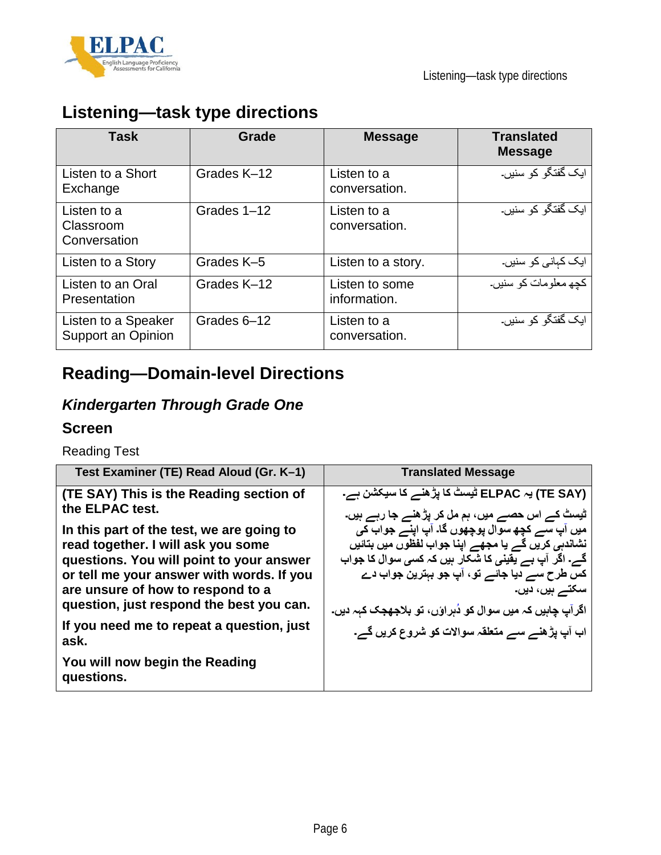



## **Listening—task type directions**

| <b>Task</b>                               | Grade       | <b>Message</b>                 | <b>Translated</b><br><b>Message</b> |
|-------------------------------------------|-------------|--------------------------------|-------------------------------------|
| Listen to a Short<br>Exchange             | Grades K-12 | Listen to a<br>conversation.   | ایک گفتگو کو سنیں۔                  |
| Listen to a<br>Classroom<br>Conversation  | Grades 1-12 | Listen to a<br>conversation.   | آیک گفتگو کو سنیں۔                  |
| Listen to a Story                         | Grades K-5  | Listen to a story.             | ایک کہانی کو سنیں۔                  |
| Listen to an Oral<br>Presentation         | Grades K-12 | Listen to some<br>information. | كچھ معلومات كو سنيں۔                |
| Listen to a Speaker<br>Support an Opinion | Grades 6-12 | Listen to a<br>conversation.   | ایک گفتگو کو سنیں۔                  |

## **Reading—Domain-level Directions**

## *Kindergarten Through Grade One*

#### **Screen**

Reading Test

| Test Examiner (TE) Read Aloud (Gr. K-1)                                                                                                                                                                                                                   | <b>Translated Message</b>                                                                                                                                                                                                                                                               |
|-----------------------------------------------------------------------------------------------------------------------------------------------------------------------------------------------------------------------------------------------------------|-----------------------------------------------------------------------------------------------------------------------------------------------------------------------------------------------------------------------------------------------------------------------------------------|
| (TE SAY) This is the Reading section of<br>the ELPAC test.                                                                                                                                                                                                | (TE SAY) یہ ELPAC ٹیسٹ کا پڑ ھنے کا سیکشن ہے۔<br>۔ ٹیسٹ کے اس حصے میں، ہم مل کر پڑھنے <b>ج</b> ا رہے ہیں۔                                                                                                                                                                               |
| In this part of the test, we are going to<br>read together. I will ask you some<br>questions. You will point to your answer<br>or tell me your answer with words. If you<br>are unsure of how to respond to a<br>question, just respond the best you can. | میں آپ سے کچھ سوال پوچھوں گا۔ آپ اپنے جواب کی<br>نشاندہی کریں گے یا مجھے اپنا جواب لفظوں میں بتائیں<br>گے۔ اگر آپ ہے یقینی کا شکار ہیں کہ کسی سوال کا جواب<br>کس طرح سے دیا جائے تو ، آپ جو بہترین جواب دے<br>سکتے ہیں، دیں۔<br>اگرآپ چاہیں کہ میں سوال کو دُہراؤں، تو بلاجھجک کہہ دیں۔ |
| If you need me to repeat a question, just<br>ask.                                                                                                                                                                                                         | اب آپ پڑھنے سے متعلقہ سوالات کو شروع کریں گے۔                                                                                                                                                                                                                                           |
| You will now begin the Reading<br>questions.                                                                                                                                                                                                              |                                                                                                                                                                                                                                                                                         |
|                                                                                                                                                                                                                                                           |                                                                                                                                                                                                                                                                                         |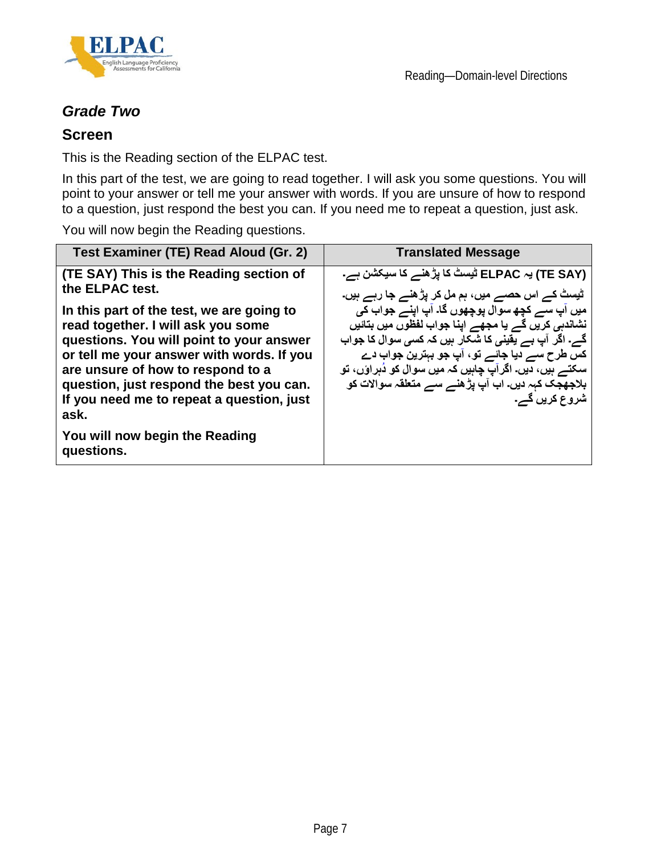



### *Grade Two*

#### **Screen**

This is the Reading section of the ELPAC test.

In this part of the test, we are going to read together. I will ask you some questions. You will point to your answer or tell me your answer with words. If you are unsure of how to respond to a question, just respond the best you can. If you need me to repeat a question, just ask.

You will now begin the Reading questions.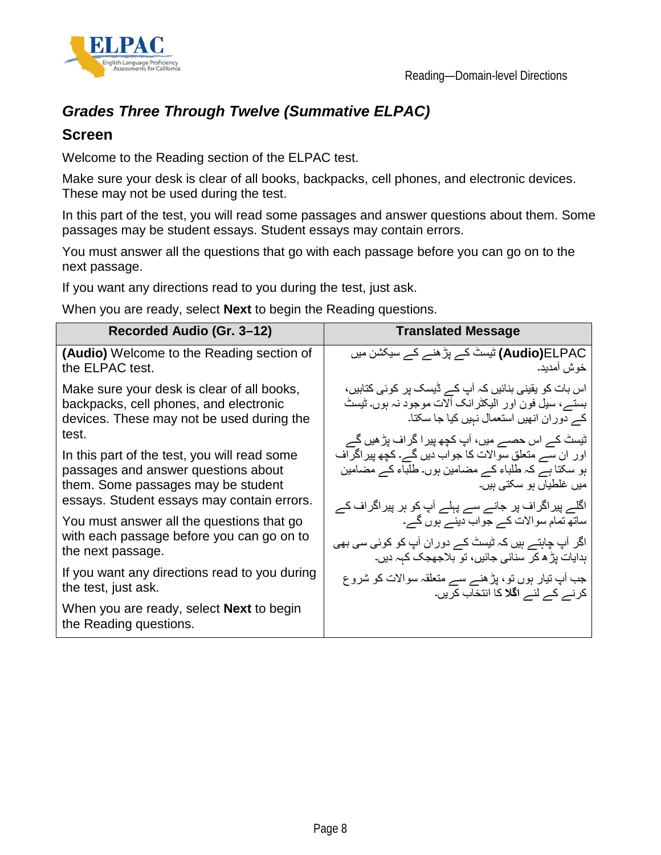



### *Grades Three Through Twelve (Summative ELPAC)*

#### **Screen**

Welcome to the Reading section of the ELPAC test.

Make sure your desk is clear of all books, backpacks, cell phones, and electronic devices. These may not be used during the test.

In this part of the test, you will read some passages and answer questions about them. Some passages may be student essays. Student essays may contain errors.

You must answer all the questions that go with each passage before you can go on to the next passage.

If you want any directions read to you during the test, just ask.

When you are ready, select **Next** to begin the Reading questions.

| Recorded Audio (Gr. 3-12)                                                 | <b>Translated Message</b>                              |
|---------------------------------------------------------------------------|--------------------------------------------------------|
| (Audio) Welcome to the Reading section of                                 | <b>Audio)E</b> LPAC) ٹیسٹ کے پڑ ھنے کے سیکشن میں       |
| the ELPAC test.                                                           | خوش آمديد۔                                             |
| Make sure your desk is clear of all books,                                | اس بات کو یقینی بنائیں کہ آپ کے ڈیسک پر کوئی کتابیں،   |
| backpacks, cell phones, and electronic                                    | بستـــر، سيل فون اور اليكثرانك ألات موجود نہ ہوں۔ ثيست |
| devices. These may not be used during the                                 | کے دوران انھیں استعمال نہیں کیا جا سکتا۔               |
| test.                                                                     | ٹیسٹ کے اس حصے میں، آپ کچھ پیرا گراف پڑ ھیں گے         |
| In this part of the test, you will read some                              | اور ان سے منعلق سوالات کا جواب دیں گے۔ کچھ پیر اگر اف  |
| passages and answer questions about                                       | ہو سکتا ہے کہ طلباء کے مضامین ہوں۔ طلباء کے مضامین     |
| them. Some passages may be student                                        | میں غلطیاں ہو سکتی ہیں۔                                |
| essays. Student essays may contain errors.                                | اگلے پیراگراف پر جانے سے پہلے آپ کو ہر پیراگراف کے     |
| You must answer all the questions that go                                 | ساتھ تمام سوالات کے جواب دینے ہوں گے۔                  |
| with each passage before you can go on to                                 | اگر آپ چاہتے ہیں کہ ٹیسٹ کے دوران آپ کو کوئی سی بھی    |
| the next passage.                                                         | ہدایات پڑ ھ کر سنائی جائیں، تو بلاجھجک کہہ دیں۔        |
| If you want any directions read to you during                             | جب آپ تیار ہوں تو، پڑ ہنے سے متعلقہ سوالات کو شروع     |
| the test, just ask.                                                       | کرنے کے لئے ا <b>گلا</b> کا انتخاب کریں۔               |
| When you are ready, select <b>Next</b> to begin<br>the Reading questions. |                                                        |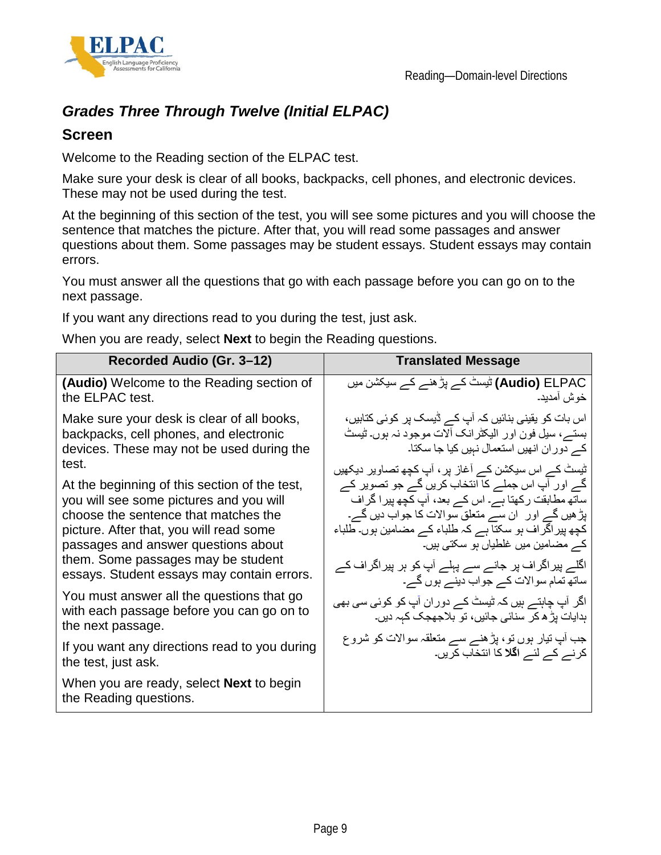



### *Grades Three Through Twelve (Initial ELPAC)*

#### **Screen**

Welcome to the Reading section of the ELPAC test.

Make sure your desk is clear of all books, backpacks, cell phones, and electronic devices. These may not be used during the test.

At the beginning of this section of the test, you will see some pictures and you will choose the sentence that matches the picture. After that, you will read some passages and answer questions about them. Some passages may be student essays. Student essays may contain errors.

You must answer all the questions that go with each passage before you can go on to the next passage.

If you want any directions read to you during the test, just ask.

When you are ready, select **Next** to begin the Reading questions.

| Recorded Audio (Gr. 3-12)                                                                                   | <b>Translated Message</b>                                                                              |
|-------------------------------------------------------------------------------------------------------------|--------------------------------------------------------------------------------------------------------|
| <b>(Audio)</b> Welcome to the Reading section of                                                            | <b>Audio) E</b> LPAC) ٹیسٹ کے پڑ ھنے کے سیکشن میں                                                      |
| the ELPAC test.                                                                                             | خوش امديد۔                                                                                             |
| Make sure your desk is clear of all books,                                                                  | اس بات کو یقینی بنائیں کہ آپ کے ڈیسک پر کوئی کتابیں،                                                   |
| backpacks, cell phones, and electronic                                                                      | بستـــر، سيل فون اور اليكثرانك ألات موجود نہ بوں۔ ثيستْ                                                |
| devices. These may not be used during the                                                                   | کے دوران انھیں استعمال نہیں کیا جا سکتا۔                                                               |
| test.                                                                                                       | ٹیسٹ کے اس سیکشن کے آغاز پر ، آپ کچھ تصاویر دیکھیں                                                     |
| At the beginning of this section of the test,                                                               | گے اور آپ اس جملے کا انتخاب کریں گے جو تصویر کے                                                        |
| you will see some pictures and you will                                                                     | ساتھ مطابقت رکھتا ہے۔ اس کے بعد، آپ کچھ پیرا گراف                                                      |
| choose the sentence that matches the                                                                        | پڑ ہیں گے اور   ان سے منعلق سوالات کا جواب دیں گے۔                                                     |
| picture. After that, you will read some                                                                     | کچھ پیر اگر اف ہو سکتا ہے کہ طلباء کے مضامین ہوں۔ طلباء                                                |
| passages and answer questions about                                                                         | کے مضامین میں غلطیاں ہو سکتی ہیں۔                                                                      |
| them. Some passages may be student                                                                          | اگلے پیراگراف پر جانے سے پہلے آپ کو ہر پیراگراف کے                                                     |
| essays. Student essays may contain errors.                                                                  | ساتھ تمام سوالات کے جواب دینے ہوں گے۔                                                                  |
| You must answer all the questions that go<br>with each passage before you can go on to<br>the next passage. | اگر آپ چاہتے ہیں کہ ٹیسٹ کے دوران آپ کو کوئی سی بھی<br>ہدایات پڑ ھ کر سنائی جائیں، تو بلاجھجک کہہ دیں۔ |
| If you want any directions read to you during                                                               | جب آپ تیار ہوں تو، پڑھنے سے متعلقہ سوالات کو شروع                                                      |
| the test, just ask.                                                                                         | کرنے کے لئے ا <b>گلا</b> کا انتخاب کریں۔                                                               |
| When you are ready, select <b>Next</b> to begin<br>the Reading questions.                                   |                                                                                                        |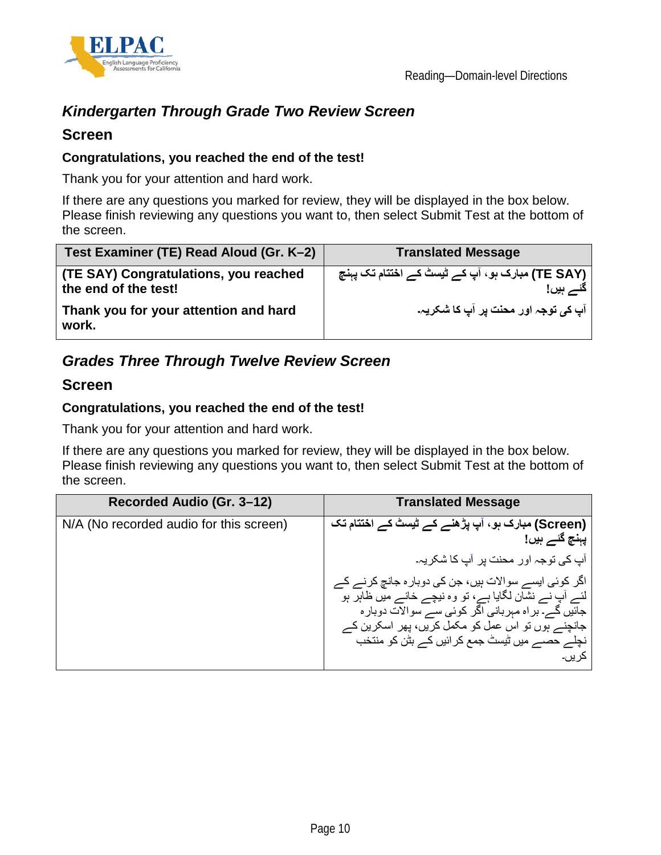

## *Kindergarten Through Grade Two Review Screen*

#### **Screen**

#### **Congratulations, you reached the end of the test!**

Thank you for your attention and hard work.

If there are any questions you marked for review, they will be displayed in the box below. Please finish reviewing any questions you want to, then select Submit Test at the bottom of the screen.

| Test Examiner (TE) Read Aloud (Gr. K-2)                       | <b>Translated Message</b>                                    |
|---------------------------------------------------------------|--------------------------------------------------------------|
| (TE SAY) Congratulations, you reached<br>the end of the test! | (TE SAY) مبارک ہو ، آپ کے ٹیسٹ کے اختتام تک پہنچ<br>گئے ہیں! |
| Thank you for your attention and hard<br>work.                | آپ کی توجہ اور محنت پر آپ کا شکریہ۔                          |

### *Grades Three Through Twelve Review Screen*

#### **Screen**

#### **Congratulations, you reached the end of the test!**

Thank you for your attention and hard work.

If there are any questions you marked for review, they will be displayed in the box below. Please finish reviewing any questions you want to, then select Submit Test at the bottom of the screen.

| Recorded Audio (Gr. 3-12)               | <b>Translated Message</b>                                                                                    |
|-----------------------------------------|--------------------------------------------------------------------------------------------------------------|
| N/A (No recorded audio for this screen) | (Screen) مبارک ہو ، آپ پڑھنے کے ٹیسٹ کے اختتام تک<br>پہنچ گئے ہیں!                                           |
|                                         | آپ کی توجہ اور محنت پر  آپ کا شکر یہ۔                                                                        |
|                                         | اگر کوئی ایسے سوالات ہیں، جن کی دوبار ہ جانچ کرنے کے<br>لئے آپ نے نشان لگایا ہے، تو وہ نیچے خانے میں ظاہر ہو |
|                                         | جائیں گے۔ بر اہ مہربانی اگر کوئی سے سوالات دوبار ہ                                                           |
|                                         | جانچنے ہوں تو اس عمل کو مکمل کریں، پھر اسکرین کے<br>نچلے حصے میں ٹیسٹ جمع کر ائیں کے بٹن کو منتخب            |
|                                         | کر پں۔                                                                                                       |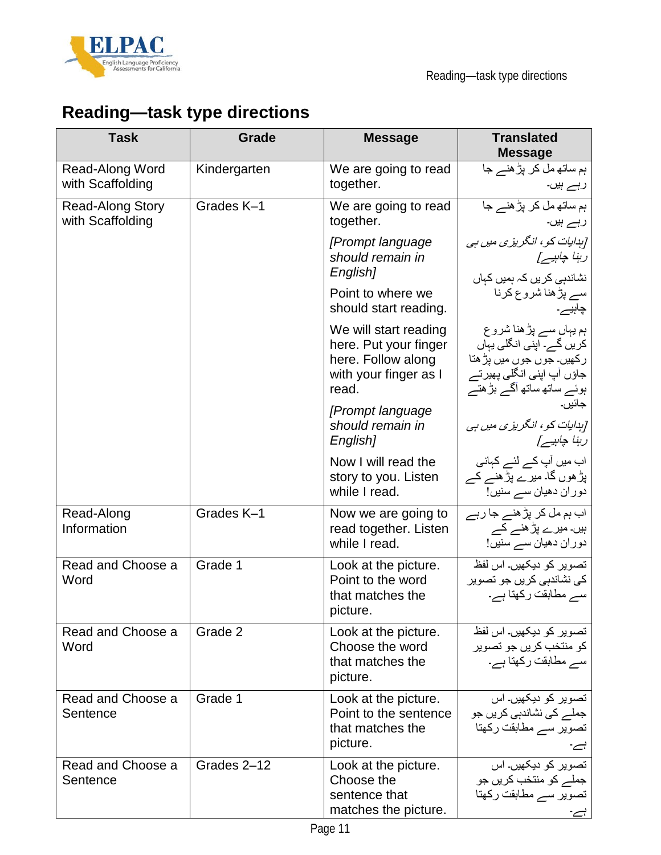



# **Reading—task type directions**

| <b>Task</b>                                 | Grade        | <b>Message</b>                                                                                         | <b>Translated</b><br><b>Message</b>                                                                                                     |
|---------------------------------------------|--------------|--------------------------------------------------------------------------------------------------------|-----------------------------------------------------------------------------------------------------------------------------------------|
| Read-Along Word<br>with Scaffolding         | Kindergarten | We are going to read<br>together.                                                                      | ہم ساتھ مل کر پڑھنے جا<br>رہے ہیں۔                                                                                                      |
| <b>Read-Along Story</b><br>with Scaffolding | Grades K-1   | We are going to read<br>together.                                                                      | ہم ساتھ مل کر پڑھنے جا<br>رہے ہیں۔                                                                                                      |
|                                             |              | [Prompt language<br>should remain in<br>English]                                                       | [ہدایات کو ، انگریزی میں ہی<br>رہنا چاہیے]<br>نشاندہی کریں کہ ہمیں کہاں                                                                 |
|                                             |              | Point to where we<br>should start reading.                                                             | سے پڑھنا شروع کرنا<br>چاہیے۔                                                                                                            |
|                                             |              | We will start reading<br>here. Put your finger<br>here. Follow along<br>with your finger as I<br>read. | ہم یہاں سے پڑھنا شروع<br>کریں گے۔ اپنی انگلی یہاں<br>رکھیں۔ جوں جوں میں پڑ ھتا<br>جاؤں آپ اپنی انگلی پھیرتے<br>ہوئے ساتھ ساتھ آگے بڑھتے |
|                                             |              | [Prompt language<br>should remain in<br>English]                                                       | جائيں۔<br>[ہدایات کو ، انگریزی میں ہی<br>رہنا چاہیے]                                                                                    |
|                                             |              | Now I will read the<br>story to you. Listen<br>while I read.                                           | اب میں آپ کے لئے کہانی<br>پڑ ھوں گا۔ میرے پڑ ھنے کے<br>دوران دھيان سے سنيں!                                                             |
| Read-Along<br>Information                   | Grades K-1   | Now we are going to<br>read together. Listen<br>while I read.                                          | اب ہم مل کر پڑ ھنے جا رہے<br>ہیں۔ میر ے پڑ ھنے کے<br>دوران دھيان سے سنيں!                                                               |
| Read and Choose a<br>Word                   | Grade 1      | Look at the picture.<br>Point to the word<br>that matches the<br>picture.                              | تصویر کو دیکھیں۔ اس لفظ<br>ک <i>ی</i> نشاندہی کریں جو تصویر<br>سے مطابقت رکھتا ہے۔                                                      |
| Read and Choose a<br>Word                   | Grade 2      | Look at the picture.<br>Choose the word<br>that matches the<br>picture.                                | تصویر کو دیکھیں۔ اس لفظ<br>کو منتخب کريں جو تصوير<br>سے مطابقت رکھتا ہے۔                                                                |
| Read and Choose a<br>Sentence               | Grade 1      | Look at the picture.<br>Point to the sentence<br>that matches the<br>picture.                          | تصویر کو دیکھیں۔ اس<br>جملے کی نشاندہی کریں جو<br>تصویر سے مطابقت رکھتا<br>ہے۔                                                          |
| Read and Choose a<br>Sentence               | Grades 2-12  | Look at the picture.<br>Choose the<br>sentence that<br>matches the picture.                            | تصویر کو دیکھیں۔ اس<br>جملے کو منتخب کریں جو<br>تصویر سے مطابقت رکھتا<br>ہے۔                                                            |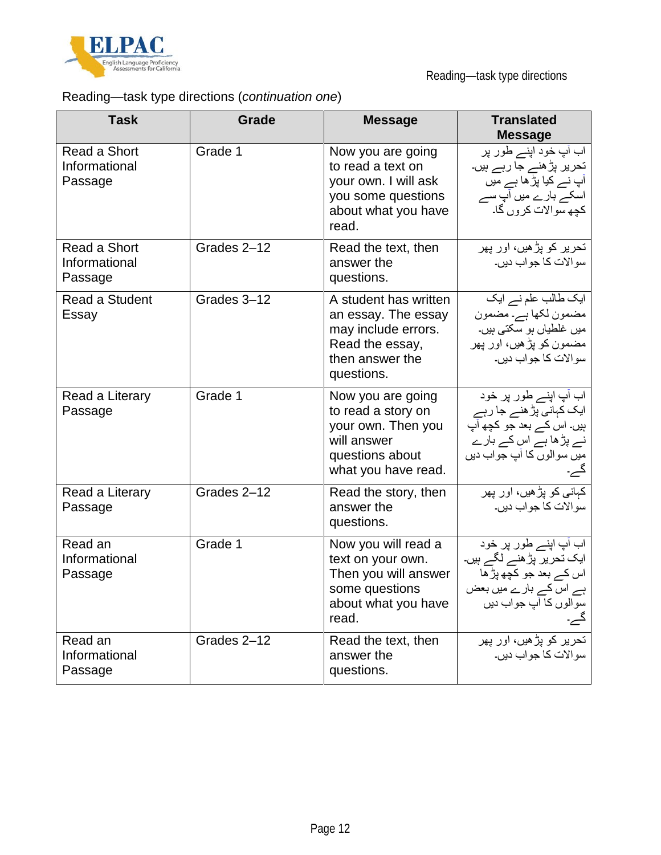

## Reading—task type directions (*continuation one*)

| <b>Task</b>                                     | <b>Grade</b> | <b>Message</b>                                                                                                          | <b>Translated</b><br><b>Message</b>                                                                                                |
|-------------------------------------------------|--------------|-------------------------------------------------------------------------------------------------------------------------|------------------------------------------------------------------------------------------------------------------------------------|
| <b>Read a Short</b><br>Informational<br>Passage | Grade 1      | Now you are going<br>to read a text on<br>your own. I will ask<br>you some questions<br>about what you have<br>read.    | اب آپ خود اپنے طور پر<br>تحریر پڑھنے جا رہے ہیں۔<br>آپ نے کیا پڑ <i>ھ</i> ا ہے میں<br>اسکے بارے میں آپ سے<br>کچھ سوالات کروں گا۔   |
| Read a Short<br>Informational<br>Passage        | Grades 2-12  | Read the text, then<br>answer the<br>questions.                                                                         | تحریر کو پڑھیں، اور پھر<br>سو الات کا جو اب دیں۔                                                                                   |
| <b>Read a Student</b><br>Essay                  | Grades 3-12  | A student has written<br>an essay. The essay<br>may include errors.<br>Read the essay,<br>then answer the<br>questions. | ایک طالب علم نے ایک<br>مضمون لکھا ہے۔ مضمون<br>میں غلطیاں ہو سکتی ہیں۔<br>مضمون کو پڑھیں، اور پھر<br>سو الات کا جو اب دیں۔         |
| Read a Literary<br>Passage                      | Grade 1      | Now you are going<br>to read a story on<br>your own. Then you<br>will answer<br>questions about<br>what you have read.  | اب آپ اپنے طور پر خود<br>ایک کہانی پڑ ہنے جا رہے<br>ہیں۔ اس کے بعد جو کچھ آپ<br>نے پڑھا ہے اس کے بارے<br>میں سوالوں کا آپ جواب دیں |
| Read a Literary<br>Passage                      | Grades 2-12  | Read the story, then<br>answer the<br>questions.                                                                        | کہانی کو پڑھیں، اور پھر<br>سو الات کا جو اب دیں۔                                                                                   |
| Read an<br>Informational<br>Passage             | Grade 1      | Now you will read a<br>text on your own.<br>Then you will answer<br>some questions<br>about what you have<br>read.      | اب آپ اپنے طور پر خود<br>ایک تحریر پڑ ہنے لگے ہیں۔<br>اس کے بعد جو کچھ پڑ ھا<br>ہے اس کے بارے میں بعض<br>سوالوں کا آپ جواب دیں     |
| Read an<br>Informational<br>Passage             | Grades 2-12  | Read the text, then<br>answer the<br>questions.                                                                         | تحریر کو پڑھیں، اور پھر<br>سوالات کا جواب دیں۔                                                                                     |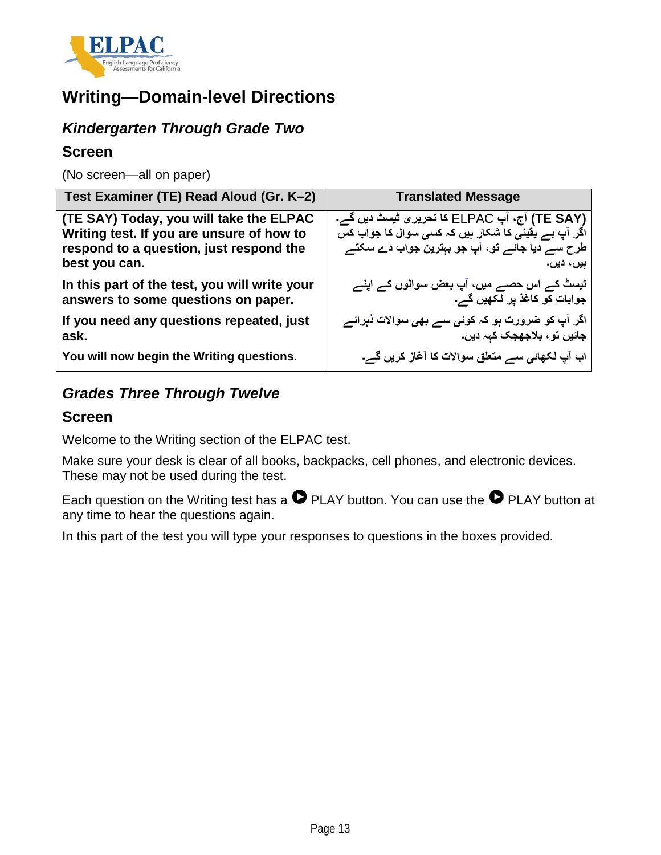

## **Writing—Domain-level Directions**

### *Kindergarten Through Grade Two*

#### **Screen**

(No screen—all on paper)

| <b>Translated Message</b>                                                                                                                                                 |
|---------------------------------------------------------------------------------------------------------------------------------------------------------------------------|
| (TE SAY) آج، آپ ELPAC کا تحریری ٹیِسٹ دیں گے۔<br>اگر آپ ہے یقینی کا شکار ہیں کہ ک <i>سی</i> سوال کا جواب کس<br>طرح سے دیا جائے تو، آپ جو بېترین جواب دے سکتے<br>ہیں، دیں۔ |
| ٹیسٹ کے اس حصے میں، آپ بعض سوالوں کے اپنے<br>جوابات کو کاغذ پر لکھیں گے۔                                                                                                  |
| اگر آپ کو <b>ضرورت ہو کہ کوئ<i>ی سے بھی</i> سوالات دُہر</b> ائے<br>جائیں تو ، بلاجھجک کہہ دیں۔                                                                            |
| اب آپ لکھائی سے متعلق سوالات کا آغاز کریں گے۔                                                                                                                             |
|                                                                                                                                                                           |

### *Grades Three Through Twelve*

#### **Screen**

Welcome to the Writing section of the ELPAC test.

Make sure your desk is clear of all books, backpacks, cell phones, and electronic devices. These may not be used during the test.

Each question on the Writing test has a  $\bullet$  PLAY button. You can use the  $\bullet$  PLAY button at any time to hear the questions again.

In this part of the test you will type your responses to questions in the boxes provided.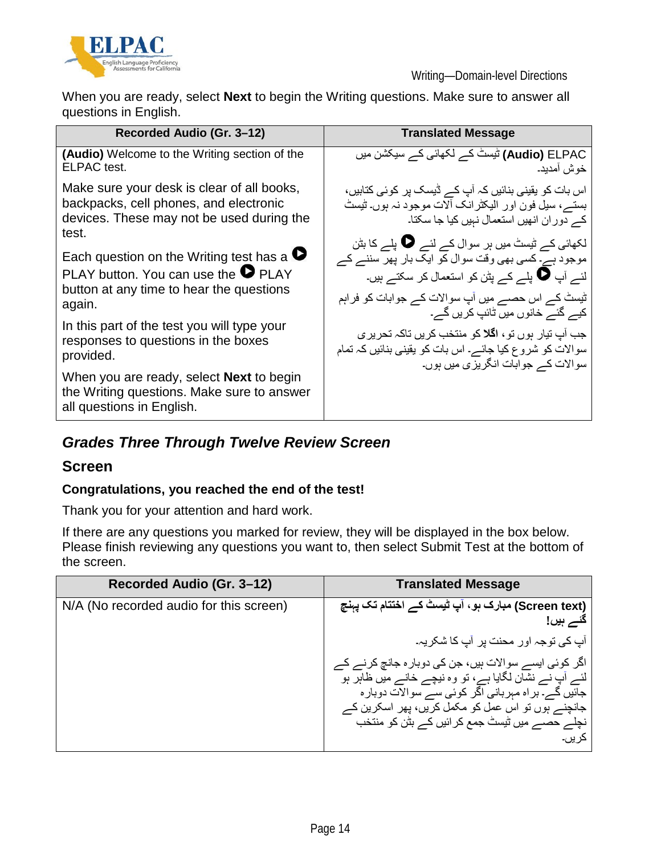

When you are ready, select **Next** to begin the Writing questions. Make sure to answer all questions in English.

| Recorded Audio (Gr. 3-12)                                                                                                                              | <b>Translated Message</b>                                                                                                                                                                                                                  |
|--------------------------------------------------------------------------------------------------------------------------------------------------------|--------------------------------------------------------------------------------------------------------------------------------------------------------------------------------------------------------------------------------------------|
| <b>(Audio)</b> Welcome to the Writing section of the<br>ELPAC test.                                                                                    | <b>Audio)</b> ELPAC) ٹیسٹ کے لکھائی کے سیکشن میں<br>خوش أمديد.                                                                                                                                                                             |
| Make sure your desk is clear of all books,<br>backpacks, cell phones, and electronic<br>devices. These may not be used during the<br>test.             | اس بات کو یقینی بنائیں کہ آپ کے ڈیسک پر کوئی کتابیں،<br>بستـــر، سيل فون اور اليكثرانك ألات موجود نہ بوں۔ تُيستُ<br>کے دوران انھیں استعمال نہیں کیا جا سکتا۔                                                                               |
| Each question on the Writing test has a $\bullet$<br>PLAY button. You can use the $\bullet$ PLAY<br>button at any time to hear the questions<br>again. | لکھائی کے ٹیسٹ میں ہر سوال کے لئے کے پلے کا بٹن<br>موجود ہے۔ کسی بھی وقت سوال کو ایک بار پھر سننے کے<br>لئے آپ ھا بلے کے بٹن کو استعمال کر سکتے ہیں۔<br>ٹیسٹ کے اس حصے میں آپ سوالات کے جوابات کو فراہم<br>کیے گئے خانوں میں ٹائپ کریں گے۔ |
| In this part of the test you will type your<br>responses to questions in the boxes<br>provided.                                                        | جب آبِ تيار ہوں تو ، <b>اگلا</b> کو منتخب کريں تاکہ تحري <i>ر ي</i><br>سوالات کو شروع کیا جائے۔ اس بات کو یقینی بنائیں کہ تمام<br>سوالات کے جوابات انگریزی میں ہوں۔                                                                        |
| When you are ready, select <b>Next</b> to begin<br>the Writing questions. Make sure to answer<br>all questions in English.                             |                                                                                                                                                                                                                                            |

### *Grades Three Through Twelve Review Screen*

#### **Screen**

#### **Congratulations, you reached the end of the test!**

Thank you for your attention and hard work.

If there are any questions you marked for review, they will be displayed in the box below. Please finish reviewing any questions you want to, then select Submit Test at the bottom of the screen.

| Recorded Audio (Gr. 3-12)               | <b>Translated Message</b>                                                                                                                                            |
|-----------------------------------------|----------------------------------------------------------------------------------------------------------------------------------------------------------------------|
| N/A (No recorded audio for this screen) | (Screen text) مبارک ہو ، آپ ٹیسٹ کے اختتام تک پہنچ<br>گئے ہیں!                                                                                                       |
|                                         | آپ کی توجہ اور محنت پر  آپ کا شکر پہ۔                                                                                                                                |
|                                         | اگر کوئی ایسے سوالات ہیں، جن کی دوبار ہ جانچ کرنے کے<br>لئے آپ نے نشان لگایا ہے، تو وہ نیچے خانے میں ظاہر ہو<br>جاَنَیں گے۔ بر اہ مہربانی اگر کوئی سے سوالات دوبار ہ |
|                                         | جانچنے ہوں تو اس عمل کو مکمل کریں، پھر اسکرین کے<br>نچلے حصے میں ٹیسٹ جمع کر ائیں کے بٹن کو منتخب                                                                    |
|                                         | کر بر ہے                                                                                                                                                             |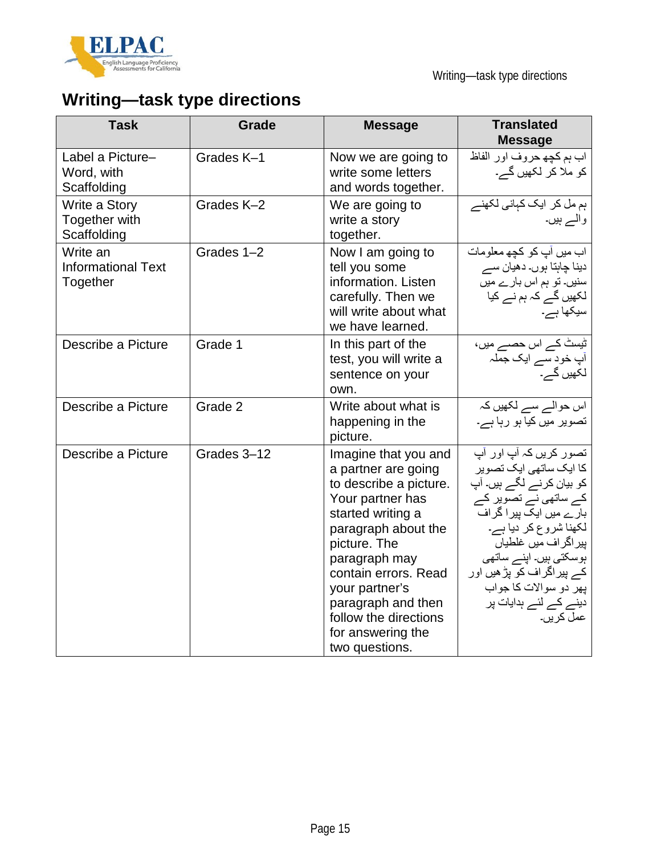

# **Writing—task type directions**

| <b>Task</b>                                       | <b>Grade</b> | <b>Message</b>                                                                                                                                                                                                                                                                                         | <b>Translated</b><br><b>Message</b>                                                                                                                                                                                                                                                                           |
|---------------------------------------------------|--------------|--------------------------------------------------------------------------------------------------------------------------------------------------------------------------------------------------------------------------------------------------------------------------------------------------------|---------------------------------------------------------------------------------------------------------------------------------------------------------------------------------------------------------------------------------------------------------------------------------------------------------------|
| Label a Picture-<br>Word, with<br>Scaffolding     | Grades K-1   | Now we are going to<br>write some letters<br>and words together.                                                                                                                                                                                                                                       | اب ہم كچھ حروف اور الفاظ<br>کو ملا کر لکھیں گے۔                                                                                                                                                                                                                                                               |
| Write a Story<br>Together with<br>Scaffolding     | Grades K-2   | We are going to<br>write a story<br>together.                                                                                                                                                                                                                                                          | ہم مل کر ایک کہانی لکھنے<br>والے ہیں۔                                                                                                                                                                                                                                                                         |
| Write an<br><b>Informational Text</b><br>Together | Grades 1-2   | Now I am going to<br>tell you some<br>information. Listen<br>carefully. Then we<br>will write about what<br>we have learned.                                                                                                                                                                           | اب میں آپ کو کچھ معلومات<br>دینا چاہتا ہوں۔ دھیان سے<br>سنیں۔ تو ہم اس بارے میں<br>لکھیں گے کہ ہم نے کیا<br>سیکھا ہے۔                                                                                                                                                                                         |
| Describe a Picture                                | Grade 1      | In this part of the<br>test, you will write a<br>sentence on your<br>own.                                                                                                                                                                                                                              | ٹیسٹ کے اس حصے میں،<br>أپ خود سے ایک جملہ<br>لکھیں گے۔                                                                                                                                                                                                                                                        |
| Describe a Picture                                | Grade 2      | Write about what is<br>happening in the<br>picture.                                                                                                                                                                                                                                                    | اس حوالے سے لکھیں کہ<br>تصویر میں کیا ہو رہا ہے۔                                                                                                                                                                                                                                                              |
| Describe a Picture                                | Grades 3-12  | Imagine that you and<br>a partner are going<br>to describe a picture.<br>Your partner has<br>started writing a<br>paragraph about the<br>picture. The<br>paragraph may<br>contain errors. Read<br>your partner's<br>paragraph and then<br>follow the directions<br>for answering the<br>two questions. | تصور کریں کہ آپ اور آپ<br>کا ایک ساتھی ایک تصویر<br>کو بیان کرنے لگے ہیں۔ آپ<br>کے ساتھی نے تصویر کے<br>بار ے میں ایک پیر ا گر اف<br>لکھنا شروع کر دیا ہے۔<br>پیر اگر اف میں غلطیاں<br>ہوسکتی ہیں۔ اپنے ساتھی<br>کے پیر اگر اف کو پڑ ھیں اور<br>پهر دو سوالات کا جواب<br>دینے کے لئے ہدایات پر<br>عمل کر بر ۔ |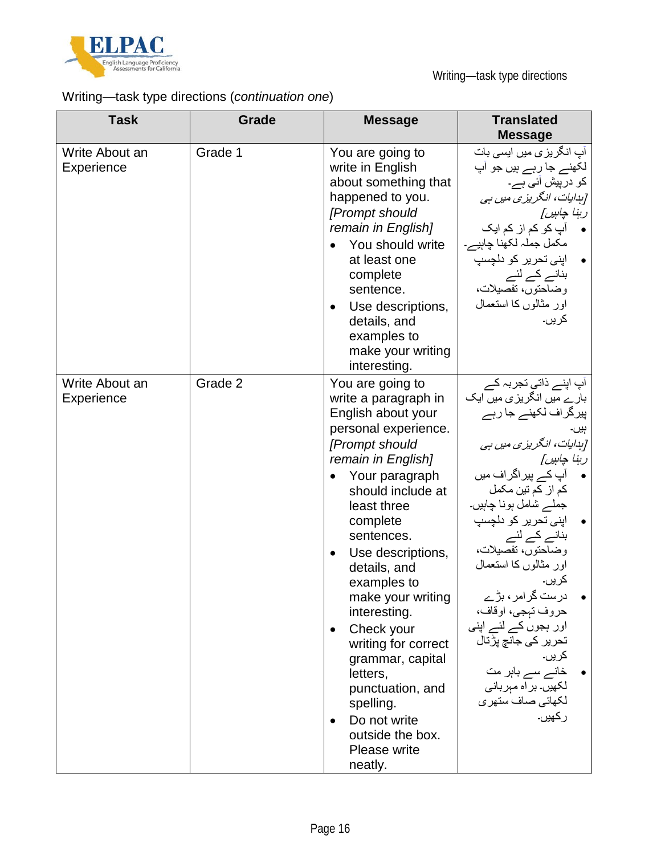

## Writing—task type directions (*continuation one*)

| <b>Task</b>                  | Grade   | <b>Message</b>                                                                                                                                                                                                                                                                                                                                                                                                                                                                                                                   | <b>Translated</b><br><b>Message</b>                                                                                                                                                                                                                                                                                                                                                                                                                                       |
|------------------------------|---------|----------------------------------------------------------------------------------------------------------------------------------------------------------------------------------------------------------------------------------------------------------------------------------------------------------------------------------------------------------------------------------------------------------------------------------------------------------------------------------------------------------------------------------|---------------------------------------------------------------------------------------------------------------------------------------------------------------------------------------------------------------------------------------------------------------------------------------------------------------------------------------------------------------------------------------------------------------------------------------------------------------------------|
| Write About an<br>Experience | Grade 1 | You are going to<br>write in English<br>about something that<br>happened to you.<br>[Prompt should<br>remain in English]<br>You should write<br>at least one<br>complete<br>sentence.<br>Use descriptions,<br>$\bullet$<br>details, and<br>examples to<br>make your writing<br>interesting.                                                                                                                                                                                                                                      | آپ انگریزی میں ایسی بات<br>لکھنے جا رہے ہیں جو اپ<br>کو درپیش آئ <i>ی</i> ہے۔<br>[ہدایات، انگریزی میں ہی<br>رېنا چاپين]<br>آپ کو کم از کم ایک<br>مکمل جملہ لکھنا چاہیے۔<br>اپنی تحریر کو دلچسپ<br>بنانے کے لئے<br>وضَلَحْتُوْنَ، تَفْصَيْلَات،<br>اور مثالوں کا استعمال<br>کريں۔                                                                                                                                                                                          |
| Write About an<br>Experience | Grade 2 | You are going to<br>write a paragraph in<br>English about your<br>personal experience.<br>[Prompt should<br>remain in English]<br>Your paragraph<br>$\bullet$<br>should include at<br>least three<br>complete<br>sentences.<br>Use descriptions,<br>$\bullet$<br>details, and<br>examples to<br>make your writing<br>interesting.<br>Check your<br>$\bullet$<br>writing for correct<br>grammar, capital<br>letters,<br>punctuation, and<br>spelling.<br>Do not write<br>$\bullet$<br>outside the box.<br>Please write<br>neatly. | آپ اپنے ذاتی تجربہ کے<br>بارے میں انگریزی میں ایک<br>پیرگراف لکھنے جا رہے<br>[ہدایات، انگریزی میں ہی<br>رہنا چاہیں]<br>آپ کے پیر اگر اف میں<br>كم از كم تين مكمل<br>جملے شامل ہونا چاہیں۔<br>اپنی تحریر کو دلچسپ<br>بنانے کے لئے<br>وضاحتون، تفصيلات،<br>اور مثالوں کا استعمال<br>کریں۔<br>درست گرامر ، بڑے<br>حروف تبجي، اوقاف،<br>اور ہجوں کے لئے اپنی<br>تحریر ک <i>ی</i> جانچ پڑتال<br>کريں۔<br>خانے سے باہر مت<br>لکھیں۔ براہ مبربانی<br>لكهائي صاف ستهرى<br>ر كھيں۔ |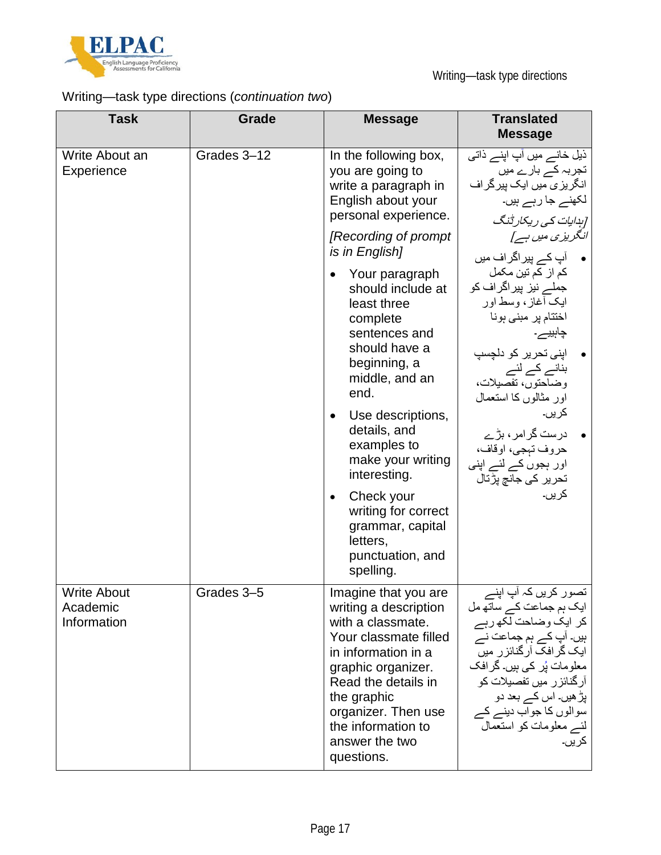

## Writing—task type directions (*continuation two*)

| <b>Task</b>                                   | Grade       | <b>Message</b>                                                                                                                                                                                                                                              | <b>Translated</b><br><b>Message</b>                                                                                                                                                                                                                                          |
|-----------------------------------------------|-------------|-------------------------------------------------------------------------------------------------------------------------------------------------------------------------------------------------------------------------------------------------------------|------------------------------------------------------------------------------------------------------------------------------------------------------------------------------------------------------------------------------------------------------------------------------|
| Write About an<br>Experience                  | Grades 3-12 | In the following box,<br>you are going to<br>write a paragraph in<br>English about your<br>personal experience.                                                                                                                                             | ذیل خانے میں آپ اپنے ذاتی<br>تجربہ کے بار ے میں<br>انگریزی میں ایک پیرگراف<br>لکھنے جا رہے ہیں۔<br>[ہدایات کی ریکارڈنگ                                                                                                                                                       |
|                                               |             | [Recording of prompt]<br>is in English]                                                                                                                                                                                                                     | انگریزی میں ہے ]<br>•      آپ کے پیر اگر اف میں                                                                                                                                                                                                                              |
|                                               |             | Your paragraph<br>should include at<br>least three<br>complete<br>sentences and<br>should have a<br>beginning, a<br>middle, and an<br>end.                                                                                                                  | کم از کم تین مکمل<br>جملے نیز پیراگراف کو<br>ایک أغاز ، وسط اور<br>اختتام پر مبنی ہونا<br>چاہییے۔<br>اپنی تحریر کو دلچسپ<br>بنانے کے لئے<br>وضاحتون، تفصيلات،<br>اور مثالوں کا استعمال                                                                                       |
|                                               |             | Use descriptions,<br>$\bullet$<br>details, and<br>examples to<br>make your writing<br>interesting.                                                                                                                                                          | کريں۔<br>درست گرامر ، بڑے<br>حروف تېجي، اوقاف،<br>اور ہجوں کے لئے اپنی<br>تحریر ک <i>ی</i> جانچ پڑتال                                                                                                                                                                        |
|                                               |             | Check your<br>$\bullet$<br>writing for correct<br>grammar, capital<br>letters,<br>punctuation, and<br>spelling.                                                                                                                                             | کريں۔                                                                                                                                                                                                                                                                        |
| <b>Write About</b><br>Academic<br>Information | Grades 3-5  | Imagine that you are<br>writing a description<br>with a classmate.<br>Your classmate filled<br>in information in a<br>graphic organizer.<br>Read the details in<br>the graphic<br>organizer. Then use<br>the information to<br>answer the two<br>questions. | ۔ تصور کریں کہ آپ اپنے<br>ایک ہم جماعت کے ساتھ مل<br>کر ایک وضاحت لکھ رہے<br>ہیں۔ آپ کے ہم جماعت نے<br>ایک گرافک آرگنائزر میں<br>معلومات پُر کی ہیں۔ گرافک<br>آر گنائز ر میں تفصیلات کو<br>بڑ ھیں۔ اس کے بعد دو<br>سوالوں کا جواب دینے کے<br>لئے معلومات کو استعمال<br>کريں۔ |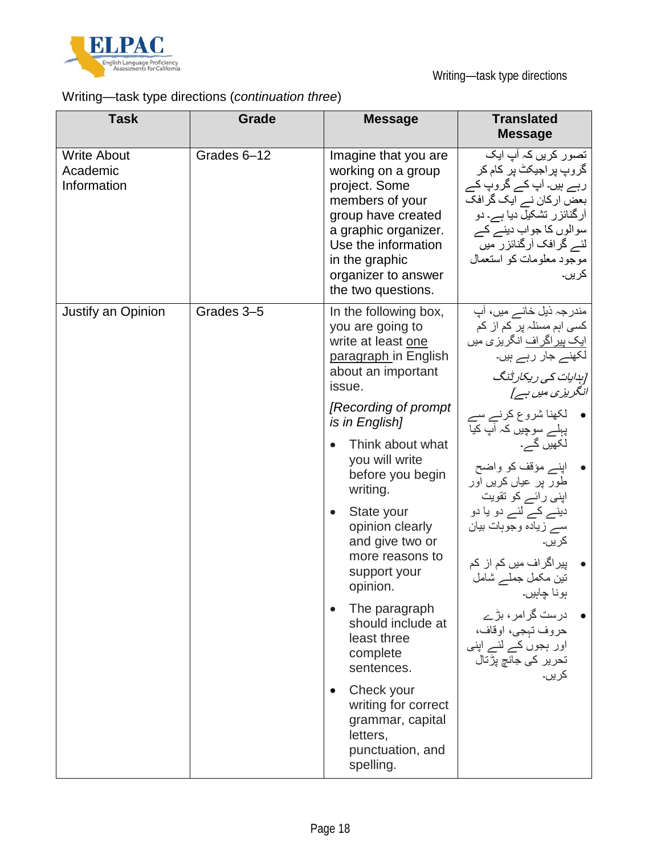

Writing—task type directions

## Writing—task type directions (*continuation three*)

| <b>Task</b>                                   | Grade       | <b>Message</b>                                                                                                                                                                                                                                                                                                                                                                                                                                                                                                                                                          | <b>Translated</b><br><b>Message</b>                                                                                                                                                                                                                                                                                                                                                                                                                                                                                                               |
|-----------------------------------------------|-------------|-------------------------------------------------------------------------------------------------------------------------------------------------------------------------------------------------------------------------------------------------------------------------------------------------------------------------------------------------------------------------------------------------------------------------------------------------------------------------------------------------------------------------------------------------------------------------|---------------------------------------------------------------------------------------------------------------------------------------------------------------------------------------------------------------------------------------------------------------------------------------------------------------------------------------------------------------------------------------------------------------------------------------------------------------------------------------------------------------------------------------------------|
| <b>Write About</b><br>Academic<br>Information | Grades 6-12 | Imagine that you are<br>working on a group<br>project. Some<br>members of your<br>group have created<br>a graphic organizer.<br>Use the information<br>in the graphic<br>organizer to answer<br>the two questions.                                                                                                                                                                                                                                                                                                                                                      | تصور کریں کہ آپ ایک<br>گروپ پراجیکٹ پر کام کر<br>رہے ہیں۔ آپ کے گروپ کے<br>بعض ارکان نے ایک گرافک<br>آرگنائزر تشکیل دیا ہے۔ دو<br>سوالوں کا جواب دینے کے<br>لئے گرافک آرگنائزر میں<br>موجود معلومات کو استعمال<br>کريں۔                                                                                                                                                                                                                                                                                                                           |
| Justify an Opinion                            | Grades 3-5  | In the following box,<br>you are going to<br>write at least one<br>paragraph in English<br>about an important<br>issue.<br>[Recording of prompt]<br>is in English]<br>Think about what<br>you will write<br>before you begin<br>writing.<br>State your<br>$\bullet$<br>opinion clearly<br>and give two or<br>more reasons to<br>support your<br>opinion.<br>The paragraph<br>$\bullet$<br>should include at<br>least three<br>complete<br>sentences.<br>Check your<br>$\bullet$<br>writing for correct<br>grammar, capital<br>letters,<br>punctuation, and<br>spelling. | مندر جہ ذیل خانے میں، آپ<br>کسی اہم مسئلہ پر کم از کم<br><u>ایک پیر اگر اف</u> انگریز <i>ی</i> میں<br>لکھنے جار رہے ہیں۔<br>[ہدایات کی ریکارڈنگ<br>انگریزی میں ہے]<br>• لکھنا شروع کرنے سے<br>پہلے سوچیں کہ آپ کی <del>ا</del><br>لکھیں گے۔<br>اپنے مؤقف کو واضح<br>طور پر عیاں کریں اور<br>اپنی رائے کو تقویت<br>دینے کے لئے دو یا دو<br>سے زیادہ وجوہات بیان<br>کريں۔<br>پیر اگر اف میں کم از  کم<br>تین مکمل جملے شامل<br>ٻونا چاہيں۔<br>درست گرامر ، بڑے<br>حروف تېجى، اوقاف،<br>اور ہجوں کے لئے اپنی<br>تحریر ک <i>ی</i> جانچ پڑتال<br>کريں۔ |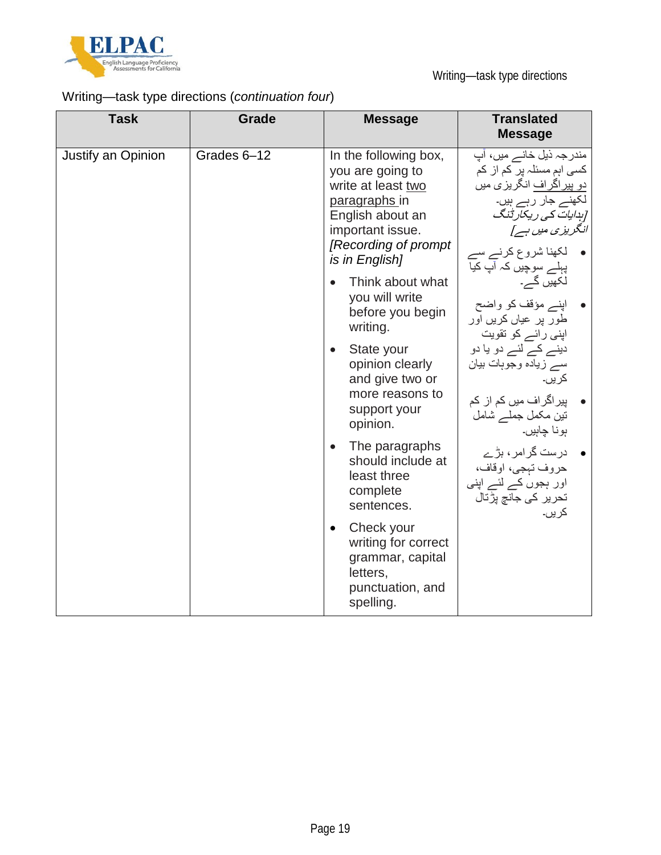

## Writing—task type directions (*continuation four*)

| <b>Task</b>        | <b>Grade</b> | <b>Message</b>                                                                                                                                                                                                                                                                                                                                                                                                                                                                                                                                                           | <b>Translated</b><br><b>Message</b>                                                                                                                                                                                                                                                                                                                                                                                                                                                                                                  |
|--------------------|--------------|--------------------------------------------------------------------------------------------------------------------------------------------------------------------------------------------------------------------------------------------------------------------------------------------------------------------------------------------------------------------------------------------------------------------------------------------------------------------------------------------------------------------------------------------------------------------------|--------------------------------------------------------------------------------------------------------------------------------------------------------------------------------------------------------------------------------------------------------------------------------------------------------------------------------------------------------------------------------------------------------------------------------------------------------------------------------------------------------------------------------------|
| Justify an Opinion | Grades 6-12  | In the following box,<br>you are going to<br>write at least two<br>paragraphs in<br>English about an<br>important issue.<br>[Recording of prompt<br>is in English]<br>Think about what<br>you will write<br>before you begin<br>writing.<br>State your<br>$\bullet$<br>opinion clearly<br>and give two or<br>more reasons to<br>support your<br>opinion.<br>The paragraphs<br>$\bullet$<br>should include at<br>least three<br>complete<br>sentences.<br>Check your<br>$\bullet$<br>writing for correct<br>grammar, capital<br>letters,<br>punctuation, and<br>spelling. | مندر جہ ذیل خانے میں، آپ<br>کسی اہم مسئلہ پر کم از کم<br><u>دو پیراگراف</u> انگریزی میں<br>لّکھنے جار رہے ہیں۔<br>[بِدایات کی ریکارڈنگ<br>انگریزی میں ہے]<br>• لکھنا شروع کرنے سے<br>پہلے سوچیں کہ آپ کیا<br>لکھیں گے۔<br>• اپنے مؤقف کو واضح<br>طور پر عیاں کریں اور<br>اپنی رائے کو تقویت<br>دینے کے لئے دو یا دو<br>سے زیادہ وجوہات بیان<br>کر پں۔<br>پیر اگر اف میں کم از کم<br>نتین مکمل جملــــر شامل<br>بونا چاہیں۔<br>● درست گرامر، بڑے<br>حروف تېجى، اوقاف،<br>اور ہجوں کے لئے اپنی<br>تحریر ک <i>ی</i> جانچ پڑتال<br>کريں۔ |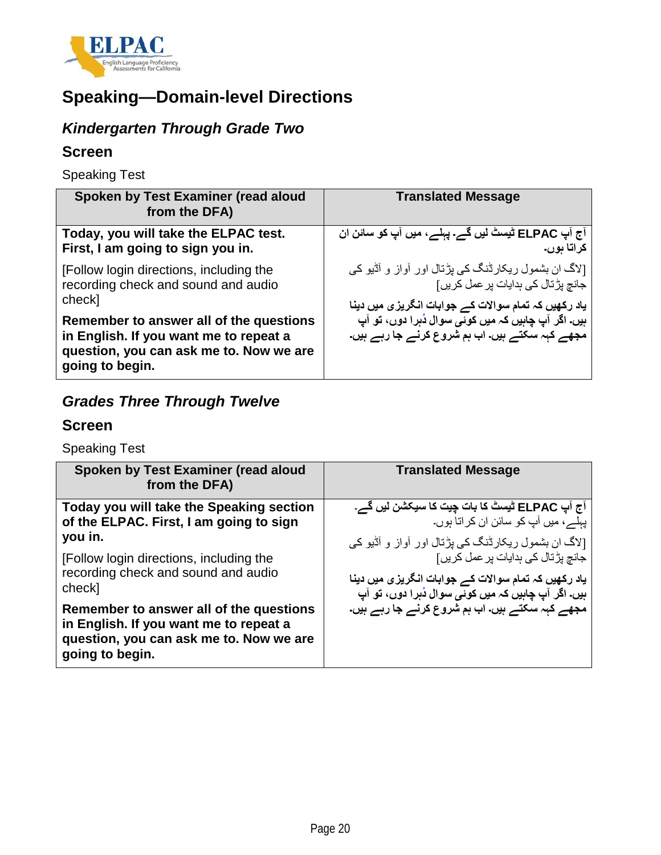

## **Speaking—Domain-level Directions**

## *Kindergarten Through Grade Two*

### **Screen**

Speaking Test

| Spoken by Test Examiner (read aloud<br>from the DFA)                                                                                            | <b>Translated Message</b>                                                                                                                                            |
|-------------------------------------------------------------------------------------------------------------------------------------------------|----------------------------------------------------------------------------------------------------------------------------------------------------------------------|
| Today, you will take the ELPAC test.<br>First, I am going to sign you in.                                                                       | آج آپ ELPAC ٹیسٹ لیں گے۔ پہلے، میں آپ کو سائن ان<br>كراتا بوں۔                                                                                                       |
| [Follow login directions, including the<br>recording check and sound and audio<br>check]                                                        | [لاگ ان بشمول ریکارڈنگ کی پڑتال اور آواز و آڈیو کی<br>جانچ پڑتال کی ہدایات پر عمل کر پں]                                                                             |
| Remember to answer all of the questions<br>in English. If you want me to repeat a<br>question, you can ask me to. Now we are<br>going to begin. | یاد رکھیں کہ تمام سوالات کے جوابات انگریزی میں دینا<br>ہیں۔ اگر آپ چاہیں کہ میں کوئ <i>ی</i> سوال دُہرا دوں، تو آپ<br>مجھے کہہ سکتے ہیں۔ اب ہم شروع کرنے جا رہے ہیں۔ |

## *Grades Three Through Twelve*

#### **Screen**

Speaking Test

| Spoken by Test Examiner (read aloud<br>from the DFA)                                                                                            | <b>Translated Message</b>                           |
|-------------------------------------------------------------------------------------------------------------------------------------------------|-----------------------------------------------------|
| Today you will take the Speaking section                                                                                                        | آج آپ ELPAC ٹیسٹ کا بات چیت کا سیکشن لیں گے۔        |
| of the ELPAC. First, I am going to sign                                                                                                         | پہلے، میں آپ کو سائن ان کر اتا ہوں۔                 |
| you in.                                                                                                                                         | [لاگ ان بشمول ریکارڈنگ کی پڑتال اور آواز و آڈیو کی  |
| [Follow login directions, including the                                                                                                         | جانچ پڑتال کی ہدایات پر عمل کر پں]                  |
| recording check and sound and audio                                                                                                             | یاد رکھیں کہ تمام سوالات کے جوابات انگریزی میں دینا |
| check]                                                                                                                                          | ہیں۔ اگر آپ چاہیں کہ میں کوئے سوال دُہرا دوں، تو آپ |
| Remember to answer all of the questions<br>in English. If you want me to repeat a<br>question, you can ask me to. Now we are<br>going to begin. | مجھے کہہ سکتے ہیں۔ اب ہم شروع کرنے جا رہے ہیں۔      |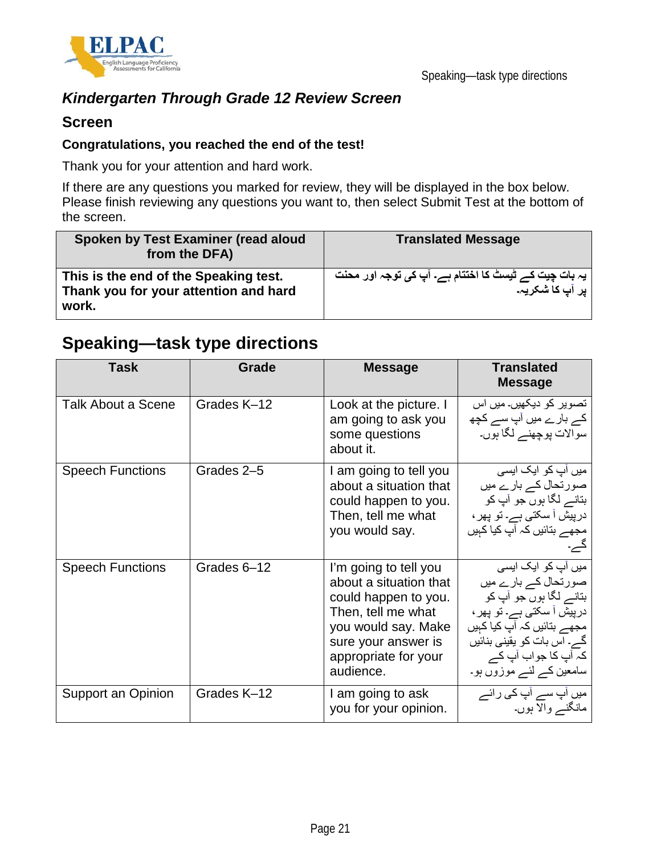

### *Kindergarten Through Grade 12 Review Screen*

#### **Screen**

#### **Congratulations, you reached the end of the test!**

Thank you for your attention and hard work.

If there are any questions you marked for review, they will be displayed in the box below. Please finish reviewing any questions you want to, then select Submit Test at the bottom of the screen.

| Spoken by Test Examiner (read aloud<br>from the DFA)                                    | <b>Translated Message</b>                                                 |
|-----------------------------------------------------------------------------------------|---------------------------------------------------------------------------|
| This is the end of the Speaking test.<br>Thank you for your attention and hard<br>work. | یہ بات چیت کے ٹیسٹ کا اختتام ہے۔ آپ کی توجہ اور محنت<br>  پر آپ کا شکریہ۔ |

## **Speaking—task type directions**

| <b>Task</b>               | Grade       | <b>Message</b>                                                                                                                                                                   | <b>Translated</b><br><b>Message</b>                                                                                                                                                                               |
|---------------------------|-------------|----------------------------------------------------------------------------------------------------------------------------------------------------------------------------------|-------------------------------------------------------------------------------------------------------------------------------------------------------------------------------------------------------------------|
| <b>Talk About a Scene</b> | Grades K-12 | Look at the picture. I<br>am going to ask you<br>some questions<br>about it.                                                                                                     | تصویر کو دیکھیں۔ میں اس<br>کے بارے میں آپ سے کچھ<br>سوالات پوچھنے لگا ہوں۔                                                                                                                                        |
| <b>Speech Functions</b>   | Grades 2-5  | I am going to tell you<br>about a situation that<br>could happen to you.<br>Then, tell me what<br>you would say.                                                                 | میں آپ کو ایک ایسی<br>صورتحال کے بارے میں<br>بتانے لگا ہوں جو آپ کو<br>درپیش آ سکتی ہے۔ تو پھر ،<br>مجھے بتائیں کہ آپ کیا کہیں                                                                                    |
| <b>Speech Functions</b>   | Grades 6-12 | I'm going to tell you<br>about a situation that<br>could happen to you.<br>Then, tell me what<br>you would say. Make<br>sure your answer is<br>appropriate for your<br>audience. | میں آپ کو ایک ایسی<br>صورتحال کے بارے میں<br>بٽانـــر لگا ٻوں جو آپ کو<br>درپیش آ سکتی ہے۔ تو پھر ،<br>مجھے بتائیں کہ آپ کیا کہیں<br>گے۔ اس بات کو یقینی بنائیں<br>کہ آپ کا جواب آپ کے<br>سامعین کے لئے موزوں ہو۔ |
| Support an Opinion        | Grades K-12 | I am going to ask<br>you for your opinion.                                                                                                                                       | میں اپ سے اپ کی رائے<br>مانگنے والا ہوں۔                                                                                                                                                                          |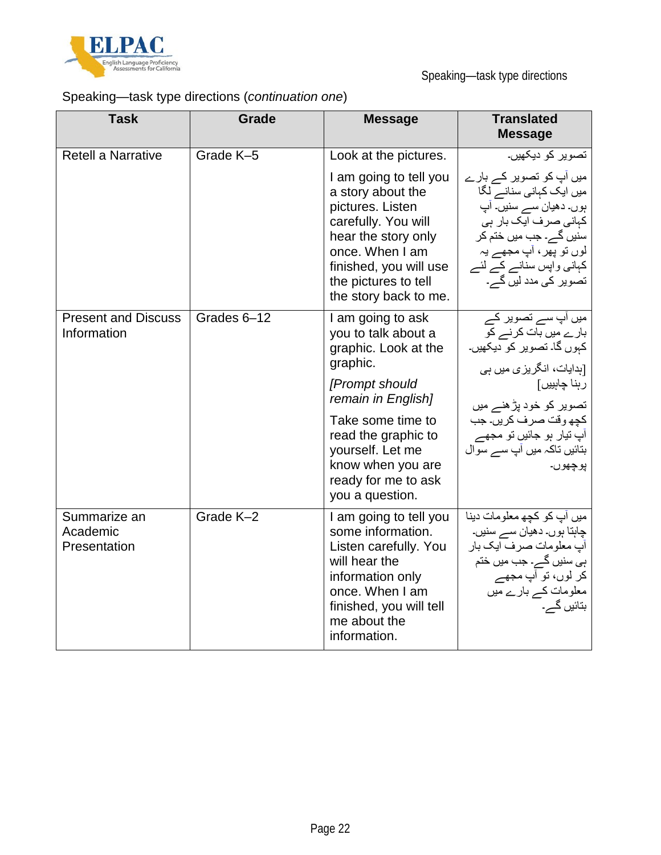

Speaking—task type directions

## Speaking—task type directions (*continuation one*)

| <b>Task</b>                               | <b>Grade</b> | <b>Message</b>                                                                                                                                                                                                                                      | <b>Translated</b><br><b>Message</b>                                                                                                                                                                                                       |
|-------------------------------------------|--------------|-----------------------------------------------------------------------------------------------------------------------------------------------------------------------------------------------------------------------------------------------------|-------------------------------------------------------------------------------------------------------------------------------------------------------------------------------------------------------------------------------------------|
| Retell a Narrative                        | Grade K-5    | Look at the pictures.                                                                                                                                                                                                                               | تصوير كو ديكھيں۔                                                                                                                                                                                                                          |
|                                           |              | I am going to tell you<br>a story about the<br>pictures. Listen<br>carefully. You will<br>hear the story only<br>once. When I am<br>finished, you will use<br>the pictures to tell<br>the story back to me.                                         | میں آپ کو تصویر کے بارے<br>میں ایک کہانی سنانے لگا<br>ٻور ـ دهيان ســــر سنير ــ آپ<br>کہانی صرف ایک بار ہی<br>سنیں گے۔ جب میں ختم کر<br>لوں تو پھر ، آپ مجھے يہ<br>کہانی واپس سنانے کے لئے<br>تصویر کی مدد لیں گے۔                       |
| <b>Present and Discuss</b><br>Information | Grades 6-12  | I am going to ask<br>you to talk about a<br>graphic. Look at the<br>graphic.<br>[Prompt should<br>remain in English]<br>Take some time to<br>read the graphic to<br>yourself. Let me<br>know when you are<br>ready for me to ask<br>you a question. | میں آپ سے تصویر کے<br>بارے میں بات کرنے کو<br>کہوں گا۔ تصویر کو دیکھیں۔<br>[بدایات، انگریزی میں ہی<br>رہنا چاہییں]<br>تصویر کو خود پڑھنے میں<br>كچھ وقت صرف كريں۔ جب<br>آپ تیار ہو جائیں تو مجھے<br>بتائیں تاکہ میں آپ سے سوال<br>پوچھوں۔ |
| Summarize an<br>Academic<br>Presentation  | Grade K-2    | I am going to tell you<br>some information.<br>Listen carefully. You<br>will hear the<br>information only<br>once. When I am<br>finished, you will tell<br>me about the<br>information.                                                             | میں آپ کو کچھ معلومات دینا<br>چاہتا ہوں۔ دھیان سے سنیں۔<br>آپ معلومات صرف ایک بار<br>ہی سنیں گے۔ جب میں ختم<br>کر لوں، تو آپ مجھے<br>معلومات کے بارے میں<br>بتائیں گے۔                                                                    |